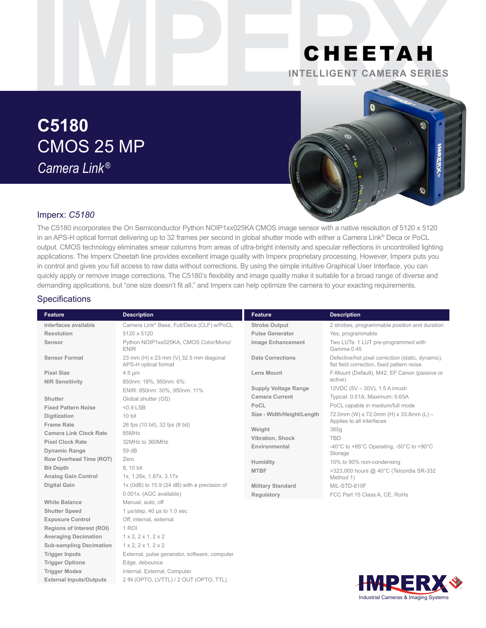## CHEETAH **INTELLIGENT CAMERA SERIES**

# **C5180** CMOS 25 MP *Camera Link ®*



### Imperx: *C5180*

The C5180 incorporates the On Semiconductor Python NOIP1xx025KA CMOS image sensor with a native resolution of 5120 x 5120 in an APS-H optical format delivering up to 32 frames per second in global shutter mode with either a Camera Link® Deca or PoCL output. CMOS technology eliminates smear columns from areas of ultra-bright intensity and specular reflections in uncontrolled lighting applications. The Imperx Cheetah line provides excellent image quality with Imperx proprietary processing. However, Imperx puts you in control and gives you full access to raw data without corrections. By using the simple intuitive Graphical User Interface, you can quickly apply or remove image corrections. The C5180's flexibility and image quality make it suitable for a broad range of diverse and demanding applications, but "one size doesn't fit all," and Imperx can help optimize the camera to your exacting requirements.

#### **Specifications**

| <b>Feature</b>                   | <b>Description</b>                                             | <b>Feature</b>              | <b>Description</b>                                                                              |
|----------------------------------|----------------------------------------------------------------|-----------------------------|-------------------------------------------------------------------------------------------------|
| Interfaces available             | Camera Link® Base, Full/Deca (CLF) w/PoCL                      | <b>Strobe Output</b>        | 2 strobes, programmable position and duration                                                   |
| Resolution                       | 5120 x 5120                                                    | <b>Pulse Generator</b>      | Yes, programmable                                                                               |
| Sensor                           | Python NOIP1xx025KA, CMOS Color/Mono/<br><b>ENIR</b>           | <b>Image Enhancement</b>    | Two LUTs: 1 LUT pre-programmed with<br>Gamma 0.45                                               |
| <b>Sensor Format</b>             | 23 mm (H) x 23 mm (V) 32.5 mm diagonal<br>APS-H optical format | <b>Data Corrections</b>     | Defective/hot pixel correction (static, dynamic),<br>flat field correction, fixed pattern noise |
| <b>Pixel Size</b>                | $4.5 \mu m$                                                    | <b>Lens Mount</b>           | F-Mount (Default), M42, EF Canon (passive or                                                    |
| <b>NIR Sensitivity</b>           | 850nm: 18%, 950nm: 6%:                                         |                             | active)                                                                                         |
|                                  | ENIR: 850nm: 30%, 950nm: 11%                                   | <b>Supply Voltage Range</b> | 12VDC (5V - 30V), 1.5 A inrush                                                                  |
| Shutter                          | Global shutter (GS)                                            | <b>Camera Current</b>       | Typical: 0.51A, Maximum: 0.65A                                                                  |
| <b>Fixed Pattern Noise</b>       | $< 0.9$ LSB                                                    | PoCL                        | PoCL capable in medium/full mode                                                                |
| <b>Digitization</b>              | 10 bit                                                         | Size - Width/Height/Length  | 72.0mm (W) x 72.0mm (H) x 33.8mm (L) -<br>Applies to all interfaces                             |
| <b>Frame Rate</b>                | 26 fps (10 bit), 32 fps (8 bit)                                | Weight                      | 385g                                                                                            |
| <b>Camera Link Clock Rate</b>    | 85MHz                                                          |                             | <b>TBD</b>                                                                                      |
| <b>Pixel Clock Rate</b>          | 32MHz to 360MHz                                                | Vibration, Shock            |                                                                                                 |
| <b>Dynamic Range</b>             | 59 dB                                                          | Environmental               | -40 $^{\circ}$ C to +85 $^{\circ}$ C Operating, -50 $^{\circ}$ C to +90 $^{\circ}$ C<br>Storage |
| Row Overhead Time (ROT)          | Zero                                                           | Humidity                    | 10% to 90% non-condensing                                                                       |
| <b>Bit Depth</b>                 | 8, 10 bit                                                      | <b>MTBF</b>                 | >323,000 hours @ 40°C (Telcordia SR-332                                                         |
| <b>Analog Gain Control</b>       | 1x, 1.26x, 1.87x, 3.17x                                        |                             | Method 1)                                                                                       |
| <b>Digital Gain</b>              | 1x (0dB) to 15.9 (24 dB) with a precision of                   | <b>Military Standard</b>    | MIL-STD-810F                                                                                    |
|                                  | 0.001x. (AGC available)                                        | Regulatory                  | FCC Part 15 Class A, CE, RoHs                                                                   |
| <b>White Balance</b>             | Manual, auto, off                                              |                             |                                                                                                 |
| <b>Shutter Speed</b>             | 1 µs/step, 40 µs to 1.0 sec                                    |                             |                                                                                                 |
| <b>Exposure Control</b>          | Off, internal, external                                        |                             |                                                                                                 |
| <b>Regions of Interest (ROI)</b> | 1 ROI                                                          |                             |                                                                                                 |
| <b>Averaging Decimation</b>      | 1 x 2, 2 x 1, 2 x 2                                            |                             |                                                                                                 |
| <b>Sub-sampling Decimation</b>   | 1 x 2, 2 x 1, 2 x 2                                            |                             |                                                                                                 |
| <b>Trigger Inputs</b>            | External, pulse generator, software, computer                  |                             |                                                                                                 |
| <b>Trigger Options</b>           | Edge, debounce                                                 |                             |                                                                                                 |
| <b>Trigger Modes</b>             | Internal, External, Computer                                   |                             |                                                                                                 |
| <b>External Inputs/Outputs</b>   | 2 IN (OPTO, LVTTL) / 2 OUT (OPTO, TTL)                         |                             | <b>IMDEI</b><br>D P                                                                             |